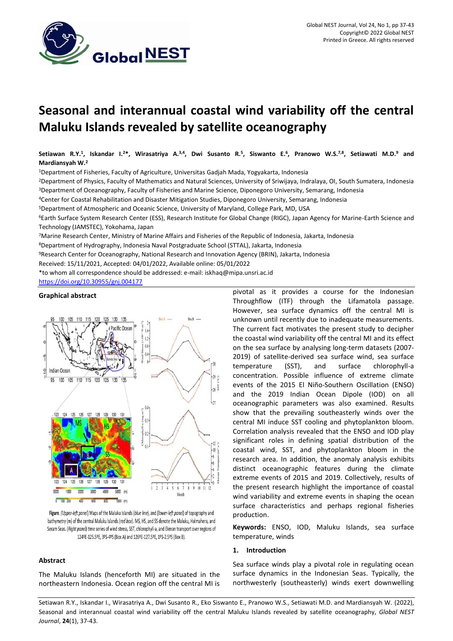

# **Seasonal and interannual coastal wind variability off the central Maluku Islands revealed by satellite oceanography**

Setiawan R.Y.<sup>1</sup>, Iskandar I.<sup>2\*</sup>, Wirasatriya A.<sup>3,4</sup>, Dwi Susanto R.<sup>5</sup>, Siswanto E.<sup>6</sup>, Pranowo W.S.<sup>7,8</sup>, Setiawati M.D.<sup>9</sup> and **Mardiansyah W.<sup>2</sup>**

<sup>1</sup>Department of Fisheries, Faculty of Agriculture, Universitas Gadjah Mada, Yogyakarta, Indonesia

<sup>2</sup>Department of Physics, Faculty of Mathematics and Natural Sciences, University of Sriwijaya, Indralaya, OI, South Sumatera, Indonesia <sup>3</sup>Department of Oceanography, Faculty of Fisheries and Marine Science, Diponegoro University, Semarang, Indonesia

<sup>4</sup>Center for Coastal Rehabilitation and Disaster Mitigation Studies, Diponegoro University, Semarang, Indonesia

<sup>5</sup>Department of Atmospheric and Oceanic Science, University of Maryland, College Park, MD, USA

<sup>6</sup>Earth Surface System Research Center (ESS), Research Institute for Global Change (RIGC), Japan Agency for Marine-Earth Science and Technology (JAMSTEC), Yokohama, Japan

<sup>7</sup>Marine Research Center, Ministry of Marine Affairs and Fisheries of the Republic of Indonesia, Jakarta, Indonesia

<sup>8</sup>Department of Hydrography, Indonesia Naval Postgraduate School (STTAL), Jakarta, Indonesia

<sup>9</sup>Research Center for Oceanography, National Research and Innovation Agency (BRIN), Jakarta, Indonesia

Received: 15/11/2021, Accepted: 04/01/2022, Available online: 05/01/2022

\*to whom all correspondence should be addressed: e-mail[: iskhaq@mipa.unsri.ac.id](mailto:iskhaq@mipa.unsri.ac.id)

<https://doi.org/10.30955/gnj.004177>

# **Graphical abstract**



Figure. (Upper-left panel) Maps of the Maluku Islands (blue line), and (lower-left panel) of topography and bathymetry (m) of the central Maluku Islands (red box). MS, HS, and SS denote the Maluku, Halmahera, and Seram Seas. (Right panel) time series of wind stress, SST, chlorophyll-a, and Ekman transport over regions of 124ºE-125.5ºE, 3ºS-4ºS (Box A) and 126ºE-127.5ºE, 1ºS-2.5ºS (Box B).

# **Abstract**

The Maluku Islands (henceforth MI) are situated in the northeastern Indonesia. Ocean region off the central MI is pivotal as it provides a course for the Indonesian Throughflow (ITF) through the Lifamatola passage. However, sea surface dynamics off the central MI is unknown until recently due to inadequate measurements. The current fact motivates the present study to decipher the coastal wind variability off the central MI and its effect on the sea surface by analysing long-term datasets (2007- 2019) of satellite-derived sea surface wind, sea surface temperature (SST), and surface chlorophyll-a concentration. Possible influence of extreme climate events of the 2015 El Niño-Southern Oscillation (ENSO) and the 2019 Indian Ocean Dipole (IOD) on all oceanographic parameters was also examined. Results show that the prevailing southeasterly winds over the central MI induce SST cooling and phytoplankton bloom. Correlation analysis revealed that the ENSO and IOD play significant roles in defining spatial distribution of the coastal wind, SST, and phytoplankton bloom in the research area. In addition, the anomaly analysis exhibits distinct oceanographic features during the climate extreme events of 2015 and 2019. Collectively, results of the present research highlight the importance of coastal wind variability and extreme events in shaping the ocean surface characteristics and perhaps regional fisheries production.

**Keywords:** ENSO, IOD, Maluku Islands, sea surface temperature, winds

#### **1. Introduction**

Sea surface winds play a pivotal role in regulating ocean surface dynamics in the Indonesian Seas. Typically, the northwesterly (southeasterly) winds exert downwelling

Setiawan R.Y., Iskandar I., Wirasatriya A., Dwi Susanto R., Eko Siswanto E., Pranowo W.S., Setiawati M.D. and Mardiansyah W. (2022), Seasonal and interannual coastal wind variability off the central Maluku Islands revealed by satellite oceanography, *Global NEST Journal*, **24**(1), 37-43.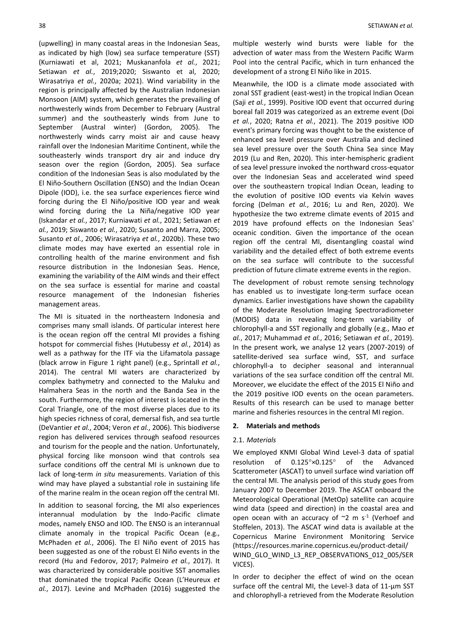(upwelling) in many coastal areas in the Indonesian Seas, as indicated by high (low) sea surface temperature (SST) (Kurniawati et al, 2021; Muskananfola *et al.*, 2021; Setiawan *et al.*, 2019;2020; Siswanto et al, 2020; Wirasatriya *et al.*, 2020a; 2021). Wind variability in the region is principally affected by the Australian Indonesian Monsoon (AIM) system, which generates the prevailing of northwesterly winds from December to February (Austral summer) and the southeasterly winds from June to September (Austral winter) (Gordon, 2005). The northwesterly winds carry moist air and cause heavy rainfall over the Indonesian Maritime Continent, while the southeasterly winds transport dry air and induce dry season over the region (Gordon, 2005). Sea surface condition of the Indonesian Seas is also modulated by the El Niño-Southern Oscillation (ENSO) and the Indian Ocean Dipole (IOD), i.e. the sea surface experiences fierce wind forcing during the El Niño/positive IOD year and weak wind forcing during the La Niña/negative IOD year (Iskandar *et al.*, 2017; Kurniawati *et al.*, 2021; Setiawan *et al.*, 2019; Siswanto *et al.*, 2020; Susanto and Marra, 2005; Susanto *et al.*, 2006; Wirasatriya *et al.*, 2020b). These two climate modes may have exerted an essential role in controlling health of the marine environment and fish resource distribution in the Indonesian Seas. Hence, examining the variability of the AIM winds and their effect on the sea surface is essential for marine and coastal resource management of the Indonesian fisheries management areas.

The MI is situated in the northeastern Indonesia and comprises many small islands. Of particular interest here is the ocean region off the central MI provides a fishing hotspot for commercial fishes (Hutubessy *et al.*, 2014) as well as a pathway for the ITF via the Lifamatola passage (black arrow in Figure 1 right panel) (e.g., Sprintall *et al.*, 2014). The central MI waters are characterized by complex bathymetry and connected to the Maluku and Halmahera Seas in the north and the Banda Sea in the south. Furthermore, the region of interest is located in the Coral Triangle, one of the most diverse places due to its high species richness of coral, demersal fish, and sea turtle (DeVantier *et al.*, 2004; Veron *et al.*, 2006). This biodiverse region has delivered services through seafood resources and tourism for the people and the nation. Unfortunately, physical forcing like monsoon wind that controls sea surface conditions off the central MI is unknown due to lack of long-term *in situ* measurements. Variation of this wind may have played a substantial role in sustaining life of the marine realm in the ocean region off the central MI.

In addition to seasonal forcing, the MI also experiences interannual modulation by the Indo-Pacific climate modes, namely ENSO and IOD. The ENSO is an interannual climate anomaly in the tropical Pacific Ocean (e.g., McPhaden *et al.*, 2006). The El Niño event of 2015 has been suggested as one of the robust El Niño events in the record (Hu and Fedorov, 2017; Palmeiro *et al.*, 2017). It was characterized by considerable positive SST anomalies that dominated the tropical Pacific Ocean (L'Heureux *et al.*, 2017). Levine and McPhaden (2016) suggested the

multiple westerly wind bursts were liable for the advection of water mass from the Western Pacific Warm Pool into the central Pacific, which in turn enhanced the development of a strong El Niño like in 2015.

Meanwhile, the IOD is a climate mode associated with zonal SST gradient (east-west) in the tropical Indian Ocean (Saji *et al.*, 1999). Positive IOD event that occurred during boreal fall 2019 was categorized as an extreme event (Doi *et al.*, 2020; Ratna *et al.*, 2021). The 2019 positive IOD event's primary forcing was thought to be the existence of enhanced sea level pressure over Australia and declined sea level pressure over the South China Sea since May 2019 (Lu and Ren, 2020). This inter-hemispheric gradient of sea level pressure invoked the northward cross-equator over the Indonesian Seas and accelerated wind speed over the southeastern tropical Indian Ocean, leading to the evolution of positive IOD events via Kelvin waves forcing (Delman *et al.*, 2016; Lu and Ren, 2020). We hypothesize the two extreme climate events of 2015 and 2019 have profound effects on the Indonesian Seas' oceanic condition. Given the importance of the ocean region off the central MI, disentangling coastal wind variability and the detailed effect of both extreme events on the sea surface will contribute to the successful prediction of future climate extreme events in the region.

The development of robust remote sensing technology has enabled us to investigate long-term surface ocean dynamics. Earlier investigations have shown the capability of the Moderate Resolution Imaging Spectroradiometer (MODIS) data in revealing long-term variability of chlorophyll-a and SST regionally and globally (e.g., Mao *et al.*, 2017; Muhammad *et al.*, 2016; Setiawan *et al.*, 2019). In the present work, we analyse 12 years (2007-2019) of satellite-derived sea surface wind, SST, and surface chlorophyll-a to decipher seasonal and interannual variations of the sea surface condition off the central MI. Moreover, we elucidate the effect of the 2015 El Niño and the 2019 positive IOD events on the ocean parameters. Results of this research can be used to manage better marine and fisheries resources in the central MI region.

#### **2. Materials and methods**

# 2.1. *Materials*

We employed KNMI Global Wind Level-3 data of spatial resolution of 0.125°×0.125° of the Advanced Scatterometer (ASCAT) to unveil surface wind variation off the central MI. The analysis period of this study goes from January 2007 to December 2019. The ASCAT onboard the Meteorological Operational (MetOp) satellite can acquire wind data (speed and direction) in the coastal area and open ocean with an accuracy of  $\sim$ 2 m s<sup>-1</sup> (Verhoef and Stoffelen, 2013). The ASCAT wind data is available at the Copernicus Marine Environment Monitoring Service (https://resources.marine.copernicus.eu/product-detail/ WIND\_GLO\_WIND\_L3\_REP\_OBSERVATIONS\_012\_005/SER VICES).

In order to decipher the effect of wind on the ocean surface off the central MI, the Level-3 data of 11-µm SST and chlorophyll-a retrieved from the Moderate Resolution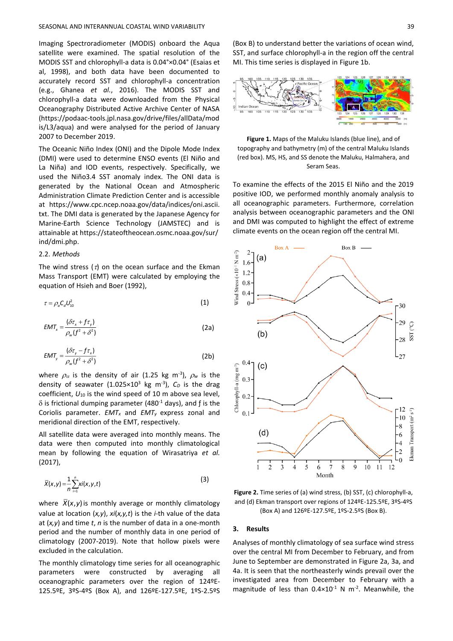Imaging Spectroradiometer (MODIS) onboard the Aqua satellite were examined. The spatial resolution of the MODIS SST and chlorophyll-a data is 0.04°×0.04° (Esaias et al, 1998), and both data have been documented to accurately record SST and chlorophyll-a concentration (e.g., Ghanea *et al.*, 2016). The MODIS SST and chlorophyll-a data were downloaded from the Physical Oceanography Distributed Active Archive Center of NASA (https://podaac-tools.jpl.nasa.gov/drive/files/allData/mod is/L3/aqua) and were analysed for the period of January 2007 to December 2019.

The Oceanic Niño Index (ONI) and the Dipole Mode Index (DMI) were used to determine ENSO events (El Niño and La Niña) and IOD events, respectively. Specifically, we used the Niño3.4 SST anomaly index. The ONI data is generated by the National Ocean and Atmospheric Administration Climate Prediction Center and is accessible at https://www.cpc.ncep.noaa.gov/data/indices/oni.ascii. txt. The DMI data is generated by the Japanese Agency for Marine-Earth Science Technology (JAMSTEC) and is attainable at https://stateoftheocean.osmc.noaa.gov/sur/ ind/dmi.php.

# 2.2. *Methods*

The wind stress ( $\tau$ ) on the ocean surface and the Ekman Mass Transport (EMT) were calculated by employing the equation of Hsieh and Boer (1992),

$$
\tau = \rho_o C_o U_{10}^2 \tag{1}
$$

$$
EMT_x = \frac{(\delta \tau_x + f \tau_y)}{\rho_w (f^2 + \delta^2)}
$$
 (2a)

$$
EMT_{y} = \frac{(\delta \tau_{y} - f \tau_{x})}{\rho_{w}(f^{2} + \delta^{2})}
$$
 (2b)

where  $\rho_{\alpha}$  is the density of air (1.25 kg m<sup>-3</sup>),  $\rho_{w}$  is the density of seawater  $(1.025 \times 10^3 \text{ kg m}^{-3})$ ,  $C_D$  is the drag coefficient, *U*<sup>10</sup> is the wind speed of 10 m above sea level,  $\delta$  is frictional dumping parameter (480<sup>-1</sup> days), and f is the Coriolis parameter. *EMT<sup>x</sup>* and *EMT<sup>y</sup>* express zonal and meridional direction of the EMT, respectively.

All satellite data were averaged into monthly means. The data were then computed into monthly climatological mean by following the equation of Wirasatriya *et al.* (2017),

$$
\overline{X}(x,y) = \frac{1}{n} \sum_{i=1}^{n} xi(x,y,t)
$$
\n(3)

where  $X(x, y)$  is monthly average or monthly climatology value at location (*x,y*), *xi*(*x,y,t*) is the *i-*th value of the data at (*x,y*) and time *t*, *n* is the number of data in a one-month period and the number of monthly data in one period of climatology (2007-2019). Note that hollow pixels were excluded in the calculation.

The monthly climatology time series for all oceanographic parameters were constructed by averaging all oceanographic parameters over the region of 124ºE-125.5ºE, 3ºS-4ºS (Box A), and 126ºE-127.5ºE, 1ºS-2.5ºS (Box B) to understand better the variations of ocean wind, SST, and surface chlorophyll-a in the region off the central MI. This time series is displayed in Figure 1b.



**Figure 1.** Maps of the Maluku Islands (blue line), and of topography and bathymetry (m) of the central Maluku Islands (red box). MS, HS, and SS denote the Maluku, Halmahera, and Seram Seas.

To examine the effects of the 2015 El Niño and the 2019 positive IOD, we performed monthly anomaly analysis to all oceanographic parameters. Furthermore, correlation analysis between oceanographic parameters and the ONI and DMI was computed to highlight the effect of extreme climate events on the ocean region off the central MI.



**Figure 2.** Time series of (a) wind stress, (b) SST, (c) chlorophyll-a, and (d) Ekman transport over regions of 124ºE-125.5ºE, 3ºS-4ºS (Box A) and 126ºE-127.5ºE, 1ºS-2.5ºS (Box B).

#### **3. Results**

Analyses of monthly climatology of sea surface wind stress over the central MI from December to February, and from June to September are demonstrated in Figure 2a, 3a, and 4a. It is seen that the northeasterly winds prevail over the investigated area from December to February with a magnitude of less than  $0.4 \times 10^{-1}$  N m<sup>-2</sup>. Meanwhile, the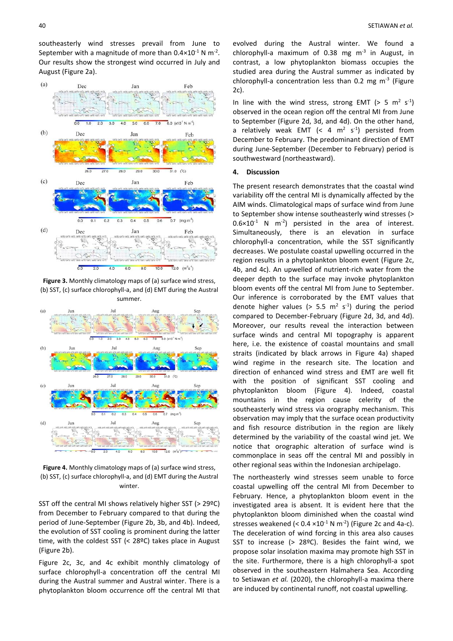southeasterly wind stresses prevail from June to September with a magnitude of more than  $0.4 \times 10^{-1}$  N m<sup>-2</sup>. Our results show the strongest wind occurred in July and August (Figure 2a).



**Figure 3.** Monthly climatology maps of (a) surface wind stress, (b) SST, (c) surface chlorophyll-a, and (d) EMT during the Austral summer.



**Figure 4.** Monthly climatology maps of (a) surface wind stress, (b) SST, (c) surface chlorophyll-a, and (d) EMT during the Austral winter.

SST off the central MI shows relatively higher SST (> 29ºC) from December to February compared to that during the period of June-September (Figure 2b, 3b, and 4b). Indeed, the evolution of SST cooling is prominent during the latter time, with the coldest SST (< 28ºC) takes place in August (Figure 2b).

Figure 2c, 3c, and 4c exhibit monthly climatology of surface chlorophyll-a concentration off the central MI during the Austral summer and Austral winter. There is a phytoplankton bloom occurrence off the central MI that

evolved during the Austral winter. We found a chlorophyll-a maximum of  $0.38$  mg m<sup>-3</sup> in August, in contrast, a low phytoplankton biomass occupies the studied area during the Austral summer as indicated by chlorophyll-a concentration less than  $0.2$  mg m<sup>-3</sup> (Figure 2c).

In line with the wind stress, strong EMT ( $> 5$  m<sup>2</sup> s<sup>-1</sup>) observed in the ocean region off the central MI from June to September (Figure 2d, 3d, and 4d). On the other hand, a relatively weak EMT (< 4  $m^2$  s<sup>-1</sup>) persisted from December to February. The predominant direction of EMT during June-September (December to February) period is southwestward (northeastward).

#### **4. Discussion**

The present research demonstrates that the coastal wind variability off the central MI is dynamically affected by the AIM winds. Climatological maps of surface wind from June to September show intense southeasterly wind stresses (>  $0.6 \times 10^{-1}$  N m<sup>-2</sup>) persisted in the area of interest. Simultaneously, there is an elevation in surface chlorophyll-a concentration, while the SST significantly decreases. We postulate coastal upwelling occurred in the region results in a phytoplankton bloom event (Figure 2c, 4b, and 4c). An upwelled of nutrient-rich water from the deeper depth to the surface may invoke phytoplankton bloom events off the central MI from June to September. Our inference is corroborated by the EMT values that denote higher values (>  $5.5 \text{ m}^2 \text{ s}^{-1}$ ) during the period compared to December-February (Figure 2d, 3d, and 4d). Moreover, our results reveal the interaction between surface winds and central MI topography is apparent here, i.e. the existence of coastal mountains and small straits (indicated by black arrows in Figure 4a) shaped wind regime in the research site. The location and direction of enhanced wind stress and EMT are well fit with the position of significant SST cooling and phytoplankton bloom (Figure 4). Indeed, coastal mountains in the region cause celerity of the southeasterly wind stress via orography mechanism. This observation may imply that the surface ocean productivity and fish resource distribution in the region are likely determined by the variability of the coastal wind jet. We notice that orographic alteration of surface wind is commonplace in seas off the central MI and possibly in other regional seas within the Indonesian archipelago.

The northeasterly wind stresses seem unable to force coastal upwelling off the central MI from December to February. Hence, a phytoplankton bloom event in the investigated area is absent. It is evident here that the phytoplankton bloom diminished when the coastal wind stresses weakened (<  $0.4 \times 10^{-1}$  N m<sup>-2</sup>) (Figure 2c and 4a-c). The deceleration of wind forcing in this area also causes SST to increase (> 28ºC). Besides the faint wind, we propose solar insolation maxima may promote high SST in the site. Furthermore, there is a high chlorophyll-a spot observed in the southeastern Halmahera Sea. According to Setiawan *et al.* (2020), the chlorophyll-a maxima there are induced by continental runoff, not coastal upwelling.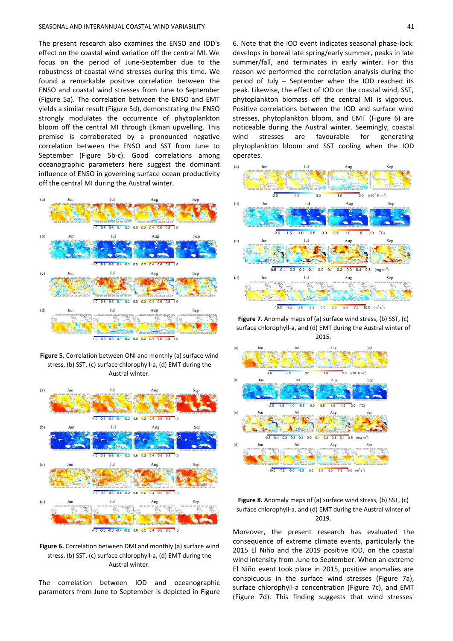The present research also examines the ENSO and IOD's effect on the coastal wind variation off the central MI. We focus on the period of June-September due to the robustness of coastal wind stresses during this time. We found a remarkable positive correlation between the ENSO and coastal wind stresses from June to September (Figure 5a). The correlation between the ENSO and EMT yields a similar result (Figure 5d), demonstrating the ENSO strongly modulates the occurrence of phytoplankton bloom off the central MI through Ekman upwelling. This premise is corroborated by a pronounced negative correlation between the ENSO and SST from June to September (Figure 5b-c). Good correlations among oceanographic parameters here suggest the dominant influence of ENSO in governing surface ocean productivity off the central MI during the Austral winter.



**Figure 5.** Correlation between ONI and monthly (a) surface wind stress, (b) SST, (c) surface chlorophyll-a, (d) EMT during the Austral winter.



**Figure 6.** Correlation between DMI and monthly (a) surface wind stress, (b) SST, (c) surface chlorophyll-a, (d) EMT during the Austral winter.

The correlation between IOD and oceanographic parameters from June to September is depicted in Figure 6. Note that the IOD event indicates seasonal phase-lock: develops in boreal late spring/early summer, peaks in late summer/fall, and terminates in early winter. For this reason we performed the correlation analysis during the period of July – September when the IOD reached its peak. Likewise, the effect of IOD on the coastal wind, SST, phytoplankton biomass off the central MI is vigorous. Positive correlations between the IOD and surface wind stresses, phytoplankton bloom, and EMT (Figure 6) are noticeable during the Austral winter. Seemingly, coastal wind stresses are favourable for generating phytoplankton bloom and SST cooling when the IOD operates.



**Figure 7.** Anomaly maps of (a) surface wind stress, (b) SST, (c) surface chlorophyll-a, and (d) EMT during the Austral winter of 2015.





Moreover, the present research has evaluated the consequence of extreme climate events, particularly the 2015 El Niño and the 2019 positive IOD, on the coastal wind intensity from June to September. When an extreme El Niño event took place in 2015, positive anomalies are conspicuous in the surface wind stresses (Figure 7a), surface chlorophyll-a concentration (Figure 7c), and EMT (Figure 7d). This finding suggests that wind stresses'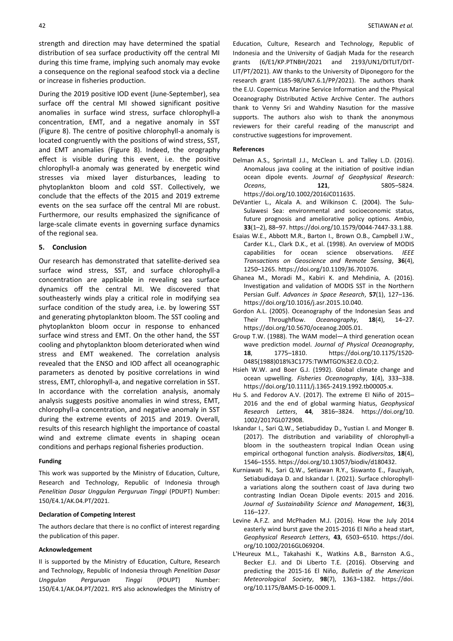strength and direction may have determined the spatial distribution of sea surface productivity off the central MI during this time frame, implying such anomaly may evoke a consequence on the regional seafood stock via a decline or increase in fisheries production.

During the 2019 positive IOD event (June-September), sea surface off the central MI showed significant positive anomalies in surface wind stress, surface chlorophyll-a concentration, EMT, and a negative anomaly in SST (Figure 8). The centre of positive chlorophyll-a anomaly is located congruently with the positions of wind stress, SST, and EMT anomalies (Figure 8). Indeed, the orography effect is visible during this event, i.e. the positive chlorophyll-a anomaly was generated by energetic wind stresses via mixed layer disturbances, leading to phytoplankton bloom and cold SST. Collectively, we conclude that the effects of the 2015 and 2019 extreme events on the sea surface off the central MI are robust. Furthermore, our results emphasized the significance of large-scale climate events in governing surface dynamics of the regional sea.

# **5. Conclusion**

Our research has demonstrated that satellite-derived sea surface wind stress, SST, and surface chlorophyll-a concentration are applicable in revealing sea surface dynamics off the central MI. We discovered that southeasterly winds play a critical role in modifying sea surface condition of the study area, i.e. by lowering SST and generating phytoplankton bloom. The SST cooling and phytoplankton bloom occur in response to enhanced surface wind stress and EMT. On the other hand, the SST cooling and phytoplankton bloom deteriorated when wind stress and EMT weakened. The correlation analysis revealed that the ENSO and IOD affect all oceanographic parameters as denoted by positive correlations in wind stress, EMT, chlorophyll-a, and negative correlation in SST. In accordance with the correlation analysis, anomaly analysis suggests positive anomalies in wind stress, EMT, chlorophyll-a concentration, and negative anomaly in SST during the extreme events of 2015 and 2019. Overall, results of this research highlight the importance of coastal wind and extreme climate events in shaping ocean conditions and perhaps regional fisheries production.

# **Funding**

This work was supported by the Ministry of Education, Culture, Research and Technology, Republic of Indonesia through *Penelitian Dasar Unggulan Perguruan Tinggi* (PDUPT) Number: 150/E4.1/AK.04.PT/2021.

#### **Declaration of Competing Interest**

The authors declare that there is no conflict of interest regarding the publication of this paper.

# **Acknowledgement**

II is supported by the Ministry of Education, Culture, Research and Technology, Republic of Indonesia through *Penelitian Dasar Unggulan Perguruan Tinggi* (PDUPT) Number: 150/E4.1/AK.04.PT/2021. RYS also acknowledges the Ministry of

Education, Culture, Research and Technology, Republic of Indonesia and the University of Gadjah Mada for the research grants (6/E1/KP.PTNBH/2021 and 2193/UN1/DITLIT/DIT-LIT/PT/2021). AW thanks to the University of Diponegoro for the research grant (185-98/UN7.6.1/PP/2021). The authors thank the E.U. Copernicus Marine Service Information and the Physical Oceanography Distributed Active Archive Center. The authors thank to Venny Sri and Wahdiny Nasution for the massive supports. The authors also wish to thank the anonymous reviewers for their careful reading of the manuscript and constructive suggestions for improvement.

#### **References**

- Delman A.S., Sprintall J.J., McClean L. and Talley L.D. (2016). Anomalous java cooling at the initiation of positive indian ocean dipole events. *Journal of Geophysical Research: Oceans*, **121**, 5805–5824. https://doi.org/10.1002/2016JC011635.
- DeVantier L., Alcala A. and Wilkinson C. (2004). The Sulu-Sulawesi Sea: environmental and socioeconomic status, future prognosis and ameliorative policy options. *Ambio*, **33**(1–2), 88–97. https://doi.org/10.1579/0044-7447-33.1.88.
- Esaias W.E., Abbott M.R., Barton I., Brown O.B., Campbell J.W., Carder K.L., Clark D.K., et al. (1998). An overview of MODIS capabilities for ocean science observations. *IEEE Transactions on Geoscience and Remote Sensing*, **36**(4), 1250–1265. https://doi.org/10.1109/36.701076.
- Ghanea M., Moradi M., Kabiri K. and Mehdinia, A. (2016). Investigation and validation of MODIS SST in the Northern Persian Gulf. *Advances in Space Research*, **57**(1), 127–136. https://doi.org/10.1016/j.asr.2015.10.040.
- Gordon A.L. (2005). Oceanography of the Indonesian Seas and Their Throughflow. *Oceanography*, **18**(4), 14–27. https://doi.org/10.5670/oceanog.2005.01.
- Group T.W. (1988). The WAM model—A third generation ocean wave prediction model. *Journal of Physical Oceanography*, **18**, 1775–1810. https://doi.org/10.1175/1520- 0485(1988)018%3C1775:TWMTGO%3E2.0.CO;2.
- Hsieh W.W. and Boer G.J. (1992). Global climate change and ocean upwelling. *Fisheries Oceanography*, **1**(4), 333–338. https://doi.org/10.1111/j.1365-2419.1992.tb00005.x.
- Hu S. and Fedorov A.V. (2017). The extreme El Niño of 2015– 2016 and the end of global warming hiatus, *Geophysical Research Letters*, **44**, 3816–3824. https://doi.org/10. 1002/2017GL072908.
- Iskandar I., Sari Q.W., Setiabudiday D., Yustian I. and Monger B. (2017). The distribution and variability of chlorophyll-a bloom in the southeastern tropical Indian Ocean using empirical orthogonal function analysis. *Biodiversitas*, **18**(4), 1546–1555. [https://doi.org/10.13057/biodiv/d180432.](https://doi.org/10.13057/biodiv/d180432)
- Kurniawati N., Sari Q.W., Setiawan R.Y., Siswanto E., Fauziyah, Setiabudidaya D. and Iskandar I. (2021). Surface chlorophylla variations along the southern coast of Java during two contrasting Indian Ocean Dipole events: 2015 and 2016. *Journal of Sustainability Science and Management*, **16**(3), 116–127.
- Levine A.F.Z. and McPhaden M.J. (2016). How the July 2014 easterly wind burst gave the 2015-2016 El Niño a head start, *Geophysical Research Letters*, **43**, 6503–6510. https://doi. org/10.1002/2016GL069204.
- L'Heureux M.L., Takahashi K., Watkins A.B., Barnston A.G., Becker E.J. and Di Liberto T.E. (2016). Observing and predicting the 2015-16 El Niño, *Bulletin of the American Meteorological Society*, **98**(7), 1363–1382. https://doi. org/10.1175/BAMS-D-16-0009.1.